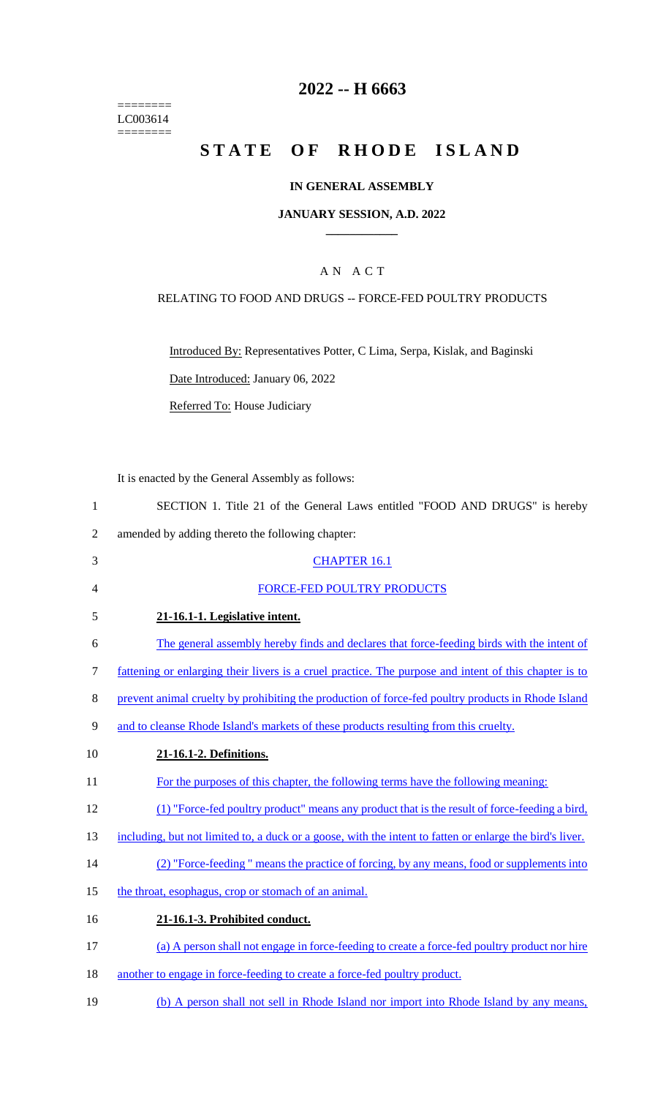======== LC003614  $=$ 

## **2022 -- H 6663**

# **STATE OF RHODE ISLAND**

#### **IN GENERAL ASSEMBLY**

#### **JANUARY SESSION, A.D. 2022 \_\_\_\_\_\_\_\_\_\_\_\_**

## A N A C T

### RELATING TO FOOD AND DRUGS -- FORCE-FED POULTRY PRODUCTS

Introduced By: Representatives Potter, C Lima, Serpa, Kislak, and Baginski

Date Introduced: January 06, 2022

Referred To: House Judiciary

It is enacted by the General Assembly as follows:

| SECTION 1. Title 21 of the General Laws entitled "FOOD AND DRUGS" is hereby |  |  |  |  |  |  |
|-----------------------------------------------------------------------------|--|--|--|--|--|--|
|                                                                             |  |  |  |  |  |  |

2 amended by adding thereto the following chapter:

| 3      | <b>CHAPTER 16.1</b>                                                                                      |
|--------|----------------------------------------------------------------------------------------------------------|
| 4      | FORCE-FED POULTRY PRODUCTS                                                                               |
| 5      | 21-16.1-1. Legislative intent.                                                                           |
| 6      | The general assembly hereby finds and declares that force-feeding birds with the intent of               |
| 7      | fattening or enlarging their livers is a cruel practice. The purpose and intent of this chapter is to    |
| 8      | prevent animal cruelty by prohibiting the production of force-fed poultry products in Rhode Island       |
| 9      | and to cleanse Rhode Island's markets of these products resulting from this cruelty.                     |
| 10     | 21-16.1-2. Definitions.                                                                                  |
| 11     | For the purposes of this chapter, the following terms have the following meaning:                        |
| 12     | (1) "Force-fed poultry product" means any product that is the result of force-feeding a bird,            |
| 13     | including, but not limited to, a duck or a goose, with the intent to fatten or enlarge the bird's liver. |
| 14     | (2) "Force-feeding" means the practice of forcing, by any means, food or supplements into                |
| 15     | the throat, esophagus, crop or stomach of an animal.                                                     |
| 16     | 21-16.1-3. Prohibited conduct.                                                                           |
| 17     | (a) A person shall not engage in force-feeding to create a force-fed poultry product nor hire            |
| $\sim$ |                                                                                                          |

- 18 another to engage in force-feeding to create a force-fed poultry product.
- 19 (b) A person shall not sell in Rhode Island nor import into Rhode Island by any means,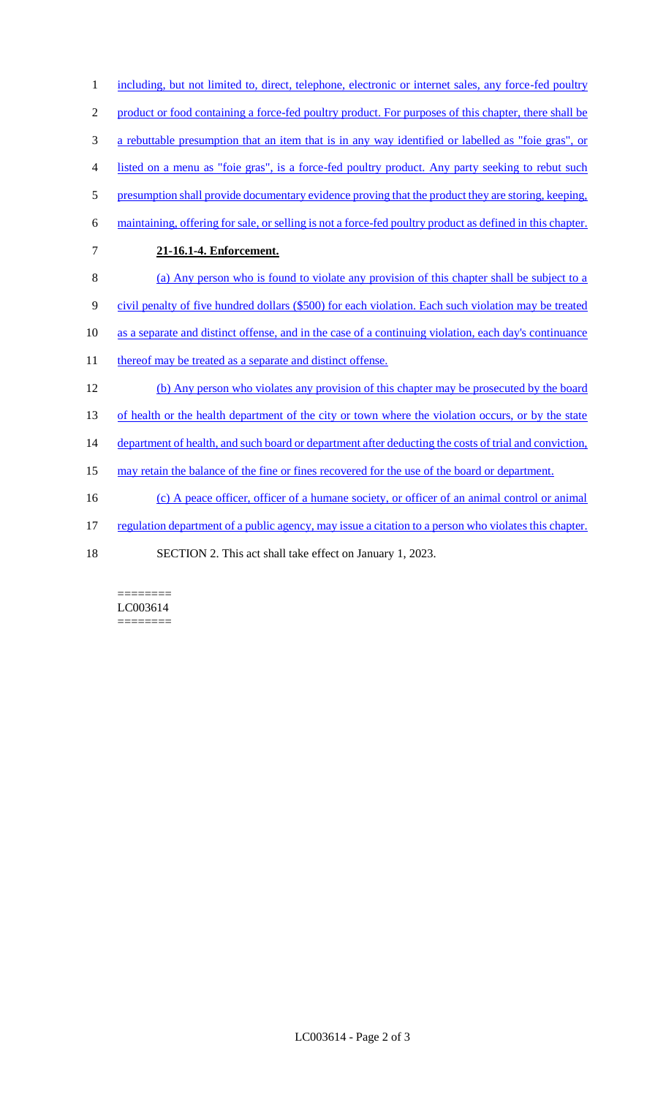1 including, but not limited to, direct, telephone, electronic or internet sales, any force-fed poultry product or food containing a force-fed poultry product. For purposes of this chapter, there shall be a rebuttable presumption that an item that is in any way identified or labelled as "foie gras", or listed on a menu as "foie gras", is a force-fed poultry product. Any party seeking to rebut such 5 presumption shall provide documentary evidence proving that the product they are storing, keeping, maintaining, offering for sale, or selling is not a force-fed poultry product as defined in this chapter. **21-16.1-4. Enforcement.**  (a) Any person who is found to violate any provision of this chapter shall be subject to a civil penalty of five hundred dollars (\$500) for each violation. Each such violation may be treated as a separate and distinct offense, and in the case of a continuing violation, each day's continuance 11 thereof may be treated as a separate and distinct offense. (b) Any person who violates any provision of this chapter may be prosecuted by the board 13 of health or the health department of the city or town where the violation occurs, or by the state 14 department of health, and such board or department after deducting the costs of trial and conviction, 15 may retain the balance of the fine or fines recovered for the use of the board or department. (c) A peace officer, officer of a humane society, or officer of an animal control or animal regulation department of a public agency, may issue a citation to a person who violates this chapter.

18 SECTION 2. This act shall take effect on January 1, 2023.

======== LC003614 ========